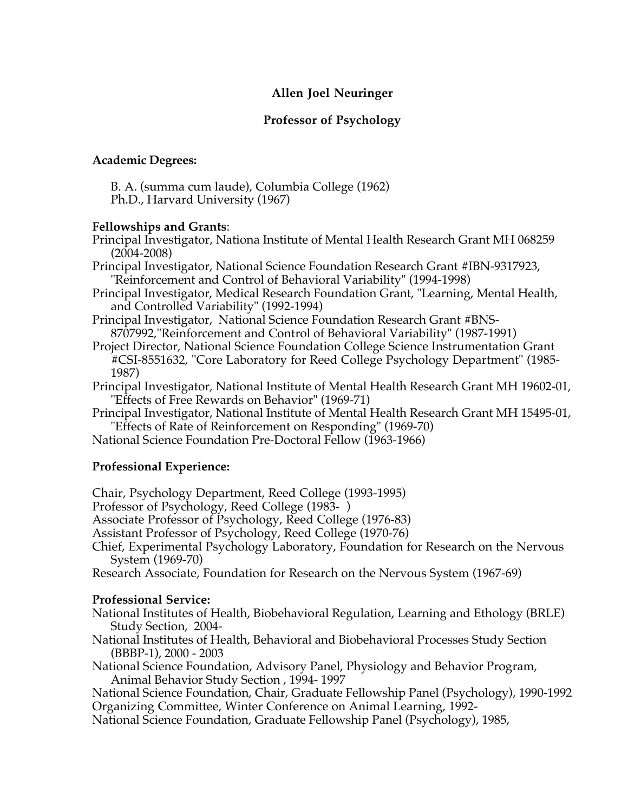# **Allen Joel Neuringer**

# **Professor of Psychology**

## **Academic Degrees:**

B. A. (summa cum laude), Columbia College (1962) Ph.D., Harvard University (1967)

## **Fellowships and Grants**:

Principal Investigator, Nationa Institute of Mental Health Research Grant MH 068259 (2004-2008)

Principal Investigator, National Science Foundation Research Grant #IBN-9317923, "Reinforcement and Control of Behavioral Variability" (1994-1998)

Principal Investigator, Medical Research Foundation Grant, "Learning, Mental Health, and Controlled Variability" (1992-1994)

Principal Investigator, National Science Foundation Research Grant #BNS-8707992,"Reinforcement and Control of Behavioral Variability" (1987-1991)

- Project Director, National Science Foundation College Science Instrumentation Grant #CSI-8551632, "Core Laboratory for Reed College Psychology Department" (1985- 1987)
- Principal Investigator, National Institute of Mental Health Research Grant MH 19602-01, "Effects of Free Rewards on Behavior" (1969-71)
- Principal Investigator, National Institute of Mental Health Research Grant MH 15495-01, "Effects of Rate of Reinforcement on Responding" (1969-70)

National Science Foundation Pre-Doctoral Fellow (1963-1966)

# **Professional Experience:**

Chair, Psychology Department, Reed College (1993-1995)

Professor of Psychology, Reed College (1983- )

Associate Professor of Psychology, Reed College (1976-83)

Assistant Professor of Psychology, Reed College (1970-76)

Chief, Experimental Psychology Laboratory, Foundation for Research on the Nervous System (1969-70)

Research Associate, Foundation for Research on the Nervous System (1967-69)

### **Professional Service:**

National Institutes of Health, Biobehavioral Regulation, Learning and Ethology (BRLE) Study Section, 2004-

National Institutes of Health, Behavioral and Biobehavioral Processes Study Section (BBBP-1), 2000 - 2003

National Science Foundation, Advisory Panel, Physiology and Behavior Program, Animal Behavior Study Section , 1994- 1997

National Science Foundation, Chair, Graduate Fellowship Panel (Psychology), 1990-1992 Organizing Committee, Winter Conference on Animal Learning, 1992-

National Science Foundation, Graduate Fellowship Panel (Psychology), 1985,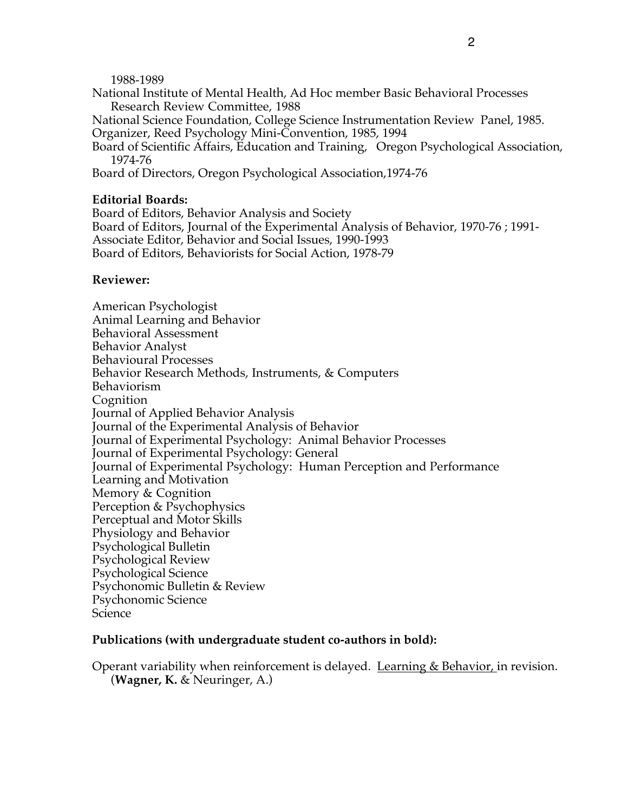#### 1988-1989

- National Institute of Mental Health, Ad Hoc member Basic Behavioral Processes Research Review Committee, 1988
- National Science Foundation, College Science Instrumentation Review Panel, 1985. Organizer, Reed Psychology Mini-Convention, 1985, 1994
- Board of Scientific Affairs, Education and Training, Oregon Psychological Association, 1974-76

Board of Directors, Oregon Psychological Association,1974-76

### **Editorial Boards:**

Board of Editors, Behavior Analysis and Society Board of Editors, Journal of the Experimental Analysis of Behavior, 1970-76 ; 1991- Associate Editor, Behavior and Social Issues, 1990-1993 Board of Editors, Behaviorists for Social Action, 1978-79

### **Reviewer:**

American Psychologist Animal Learning and Behavior Behavioral Assessment Behavior Analyst Behavioural Processes Behavior Research Methods, Instruments, & Computers Behaviorism Cognition Journal of Applied Behavior Analysis Journal of the Experimental Analysis of Behavior Journal of Experimental Psychology: Animal Behavior Processes Journal of Experimental Psychology: General Journal of Experimental Psychology: Human Perception and Performance Learning and Motivation Memory & Cognition Perception & Psychophysics Perceptual and Motor Skills Physiology and Behavior Psychological Bulletin Psychological Review Psychological Science Psychonomic Bulletin & Review Psychonomic Science Science

### **Publications (with undergraduate student co-authors in bold):**

Operant variability when reinforcement is delayed. Learning & Behavior, in revision. (**Wagner, K.** & Neuringer, A.)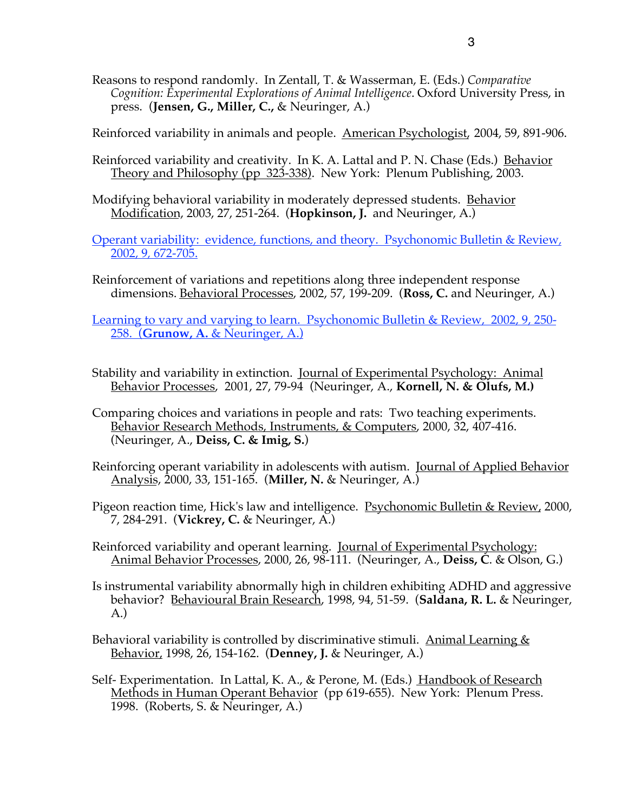Reasons to respond randomly. In Zentall, T. & Wasserman, E. (Eds.) *Comparative Cognition: Experimental Explorations of Animal Intelligence*. Oxford University Press, in press. (**Jensen, G., Miller, C.,** & Neuringer, A.)

Reinforced variability in animals and people. American Psychologist, 2004, 59, 891-906.

- Reinforced variability and creativity. In K. A. Lattal and P. N. Chase (Eds.) Behavior Theory and Philosophy (pp 323-338). New York: Plenum Publishing, 2003.
- Modifying behavioral variability in moderately depressed students. Behavior Modification, 2003, 27, 251-264. (**Hopkinson, J.** and Neuringer, A.)
- Operant variability: evidence, functions, and theory. Psychonomic Bulletin & Review*,* 2002, 9*,* 672-705.
- Reinforcement of variations and repetitions along three independent response dimensions. Behavioral Processes, 2002, 57, 199-209. (**Ross, C.** and Neuringer, A.)

Learning to vary and varying to learn. Psychonomic Bulletin & Review, 2002, 9, 250- 258. (**Grunow, A.** & Neuringer, A.)

- Stability and variability in extinction. Journal of Experimental Psychology: Animal Behavior Processes, 2001, 27, 79-94 (Neuringer, A., **Kornell, N. & Olufs, M.)**
- Comparing choices and variations in people and rats: Two teaching experiments. Behavior Research Methods, Instruments, & Computers, 2000, 32, 407-416. (Neuringer, A., **Deiss, C. & Imig, S.**)
- Reinforcing operant variability in adolescents with autism. Journal of Applied Behavior Analysis, 2000, 33, 151-165. (**Miller, N.** & Neuringer, A.)
- Pigeon reaction time, Hick's law and intelligence. **Psychonomic Bulletin & Review**, 2000, 7, 284-291. (**Vickrey, C.** & Neuringer, A.)
- Reinforced variability and operant learning. Journal of Experimental Psychology: Animal Behavior Processes, 2000, 26, 98-111. (Neuringer, A., **Deiss, C**. & Olson, G.)
- Is instrumental variability abnormally high in children exhibiting ADHD and aggressive behavior? Behavioural Brain Research, 1998, 94, 51-59. (**Saldana, R. L.** & Neuringer, A.)
- Behavioral variability is controlled by discriminative stimuli. Animal Learning  $\&$ Behavior, 1998, 26, 154-162. (**Denney, J.** & Neuringer, A.)
- Self- Experimentation. In Lattal, K. A., & Perone, M. (Eds.) Handbook of Research Methods in Human Operant Behavior (pp 619-655). New York: Plenum Press. 1998. (Roberts, S. & Neuringer, A.)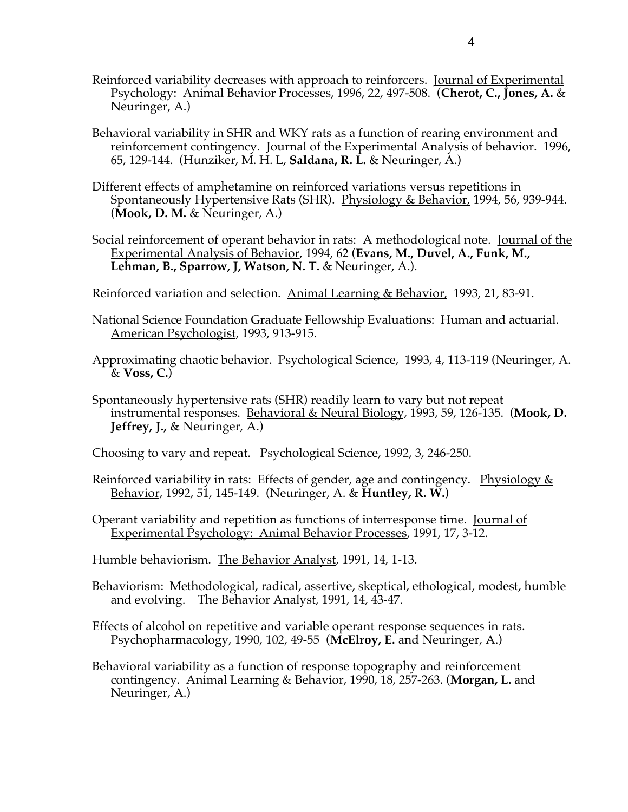- Reinforced variability decreases with approach to reinforcers. Journal of Experimental Psychology: Animal Behavior Processes, 1996, 22, 497-508. (**Cherot, C., Jones, A.** & Neuringer, A.)
- Behavioral variability in SHR and WKY rats as a function of rearing environment and reinforcement contingency. Journal of the Experimental Analysis of behavior. 1996, 65, 129-144. (Hunziker, M. H. L, **Saldana, R. L.** & Neuringer, A.)
- Different effects of amphetamine on reinforced variations versus repetitions in Spontaneously Hypertensive Rats (SHR). Physiology & Behavior, 1994, 56, 939-944. (**Mook, D. M.** & Neuringer, A.)
- Social reinforcement of operant behavior in rats: A methodological note. Journal of the Experimental Analysis of Behavior, 1994, 62 (**Evans, M., Duvel, A., Funk, M., Lehman, B., Sparrow, J, Watson, N. T.** & Neuringer, A.).
- Reinforced variation and selection. Animal Learning & Behavior, 1993, 21, 83-91.
- National Science Foundation Graduate Fellowship Evaluations: Human and actuarial. American Psychologist, 1993, 913-915.
- Approximating chaotic behavior. Psychological Science, 1993, 4, 113-119 (Neuringer, A. & **Voss, C.**)
- Spontaneously hypertensive rats (SHR) readily learn to vary but not repeat instrumental responses. Behavioral & Neural Biology, 1993, 59, 126-135. (**Mook, D. Jeffrey, J.,** & Neuringer, A.)
- Choosing to vary and repeat. Psychological Science, 1992, 3, 246-250.
- Reinforced variability in rats: Effects of gender, age and contingency. Physiology  $&$ Behavior, 1992, 51, 145-149. (Neuringer, A. & **Huntley, R. W.**)
- Operant variability and repetition as functions of interresponse time. Journal of Experimental Psychology: Animal Behavior Processes, 1991, 17, 3-12.
- Humble behaviorism. The Behavior Analyst, 1991, 14, 1-13.
- Behaviorism: Methodological, radical, assertive, skeptical, ethological, modest, humble and evolving. The Behavior Analyst, 1991, 14, 43-47.
- Effects of alcohol on repetitive and variable operant response sequences in rats. Psychopharmacology, 1990, 102, 49-55 (**McElroy, E.** and Neuringer, A.)
- Behavioral variability as a function of response topography and reinforcement contingency. Animal Learning & Behavior, 1990, 18, 257-263. (**Morgan, L.** and Neuringer, A.)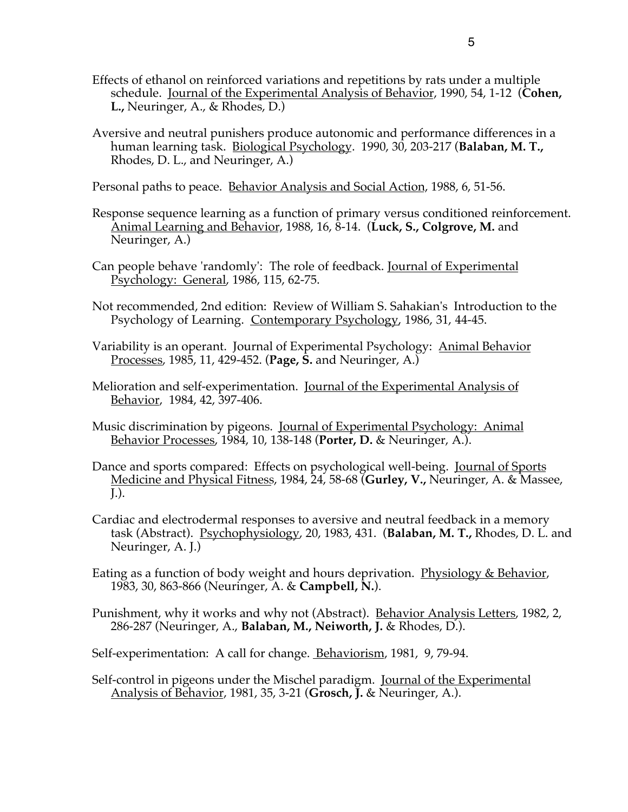- Effects of ethanol on reinforced variations and repetitions by rats under a multiple schedule. Journal of the Experimental Analysis of Behavior, 1990, 54, 1-12 (**Cohen, L.,** Neuringer, A., & Rhodes, D.)
- Aversive and neutral punishers produce autonomic and performance differences in a human learning task. Biological Psychology. 1990, 30, 203-217 (**Balaban, M. T.,** Rhodes, D. L., and Neuringer, A.)

Personal paths to peace. Behavior Analysis and Social Action, 1988, 6, 51-56.

- Response sequence learning as a function of primary versus conditioned reinforcement. Animal Learning and Behavior, 1988, 16, 8-14. (**Luck, S., Colgrove, M.** and Neuringer, A.)
- Can people behave 'randomly': The role of feedback. Journal of Experimental Psychology: General, 1986, 115, 62-75.
- Not recommended, 2nd edition: Review of William S. Sahakian's Introduction to the Psychology of Learning. Contemporary Psychology, 1986, 31, 44-45.
- Variability is an operant. Journal of Experimental Psychology: Animal Behavior Processes, 1985, 11, 429-452. (**Page, S.** and Neuringer, A.)
- Melioration and self-experimentation. Journal of the Experimental Analysis of Behavior, 1984, 42, 397-406.
- Music discrimination by pigeons. Journal of Experimental Psychology: Animal Behavior Processes, 1984, 10, 138-148 (**Porter, D.** & Neuringer, A.).
- Dance and sports compared: Effects on psychological well-being. Journal of Sports Medicine and Physical Fitness, 1984, 24, 58-68 (**Gurley, V.,** Neuringer, A. & Massee, J.).
- Cardiac and electrodermal responses to aversive and neutral feedback in a memory task (Abstract). Psychophysiology, 20, 1983, 431. (**Balaban, M. T.,** Rhodes, D. L. and Neuringer, A. J.)
- Eating as a function of body weight and hours deprivation. Physiology & Behavior, 1983, 30, 863-866 (Neuringer, A. & **Campbell, N.**).
- Punishment, why it works and why not (Abstract). Behavior Analysis Letters, 1982, 2, 286-287 (Neuringer, A., **Balaban, M., Neiworth, J.** & Rhodes, D.).
- Self-experimentation: A call for change. <u>Behaviorism</u>, 1981, 9, 79-94.
- Self-control in pigeons under the Mischel paradigm. Journal of the Experimental Analysis of Behavior, 1981, 35, 3-21 (**Grosch, J.** & Neuringer, A.).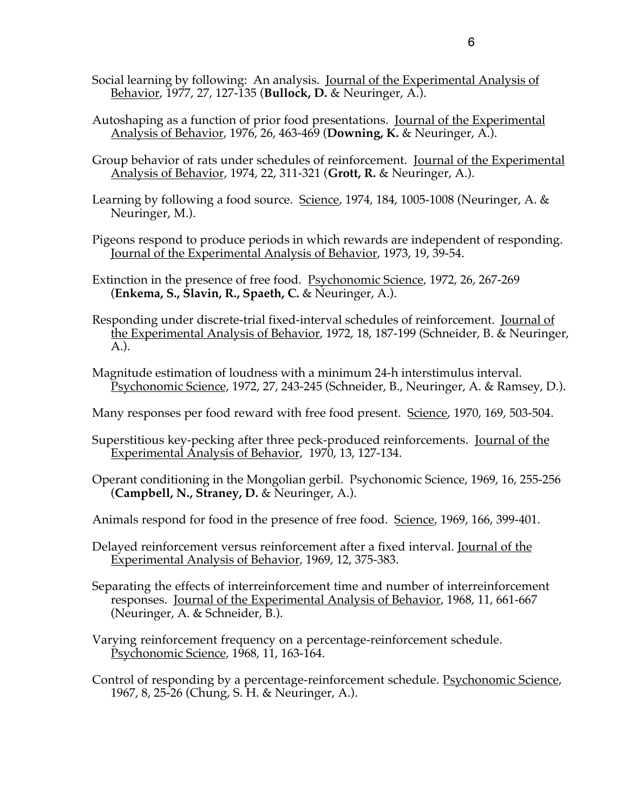- Social learning by following: An analysis. Journal of the Experimental Analysis of Behavior, 1977, 27, 127-135 (**Bullock, D.** & Neuringer, A.).
- Autoshaping as a function of prior food presentations. Journal of the Experimental Analysis of Behavior, 1976, 26, 463-469 (**Downing, K.** & Neuringer, A.).
- Group behavior of rats under schedules of reinforcement. Journal of the Experimental Analysis of Behavior, 1974, 22, 311-321 (**Grott, R.** & Neuringer, A.).
- Learning by following a food source. Science, 1974, 184, 1005-1008 (Neuringer, A. & Neuringer, M.).
- Pigeons respond to produce periods in which rewards are independent of responding. Journal of the Experimental Analysis of Behavior, 1973, 19, 39-54.
- Extinction in the presence of free food. Psychonomic Science, 1972, 26, 267-269 (**Enkema, S., Slavin, R., Spaeth, C.** & Neuringer, A.).
- Responding under discrete-trial fixed-interval schedules of reinforcement. Journal of the Experimental Analysis of Behavior, 1972, 18, 187-199 (Schneider, B. & Neuringer, A.).
- Magnitude estimation of loudness with a minimum 24-h interstimulus interval. Psychonomic Science, 1972, 27, 243-245 (Schneider, B., Neuringer, A. & Ramsey, D.).
- Many responses per food reward with free food present. Science, 1970, 169, 503-504.
- Superstitious key-pecking after three peck-produced reinforcements. Journal of the Experimental Analysis of Behavior, 1970, 13, 127-134.
- Operant conditioning in the Mongolian gerbil. Psychonomic Science, 1969, 16, 255-256 (**Campbell, N., Straney, D.** & Neuringer, A.).
- Animals respond for food in the presence of free food. Science, 1969, 166, 399-401.
- Delayed reinforcement versus reinforcement after a fixed interval. Journal of the Experimental Analysis of Behavior, 1969, 12, 375-383.
- Separating the effects of interreinforcement time and number of interreinforcement responses. Journal of the Experimental Analysis of Behavior, 1968, 11, 661-667 (Neuringer, A. & Schneider, B.).
- Varying reinforcement frequency on a percentage-reinforcement schedule. Psychonomic Science, 1968, 11, 163-164.
- Control of responding by a percentage-reinforcement schedule. Psychonomic Science, 1967, 8, 25-26 (Chung, S. H. & Neuringer, A.).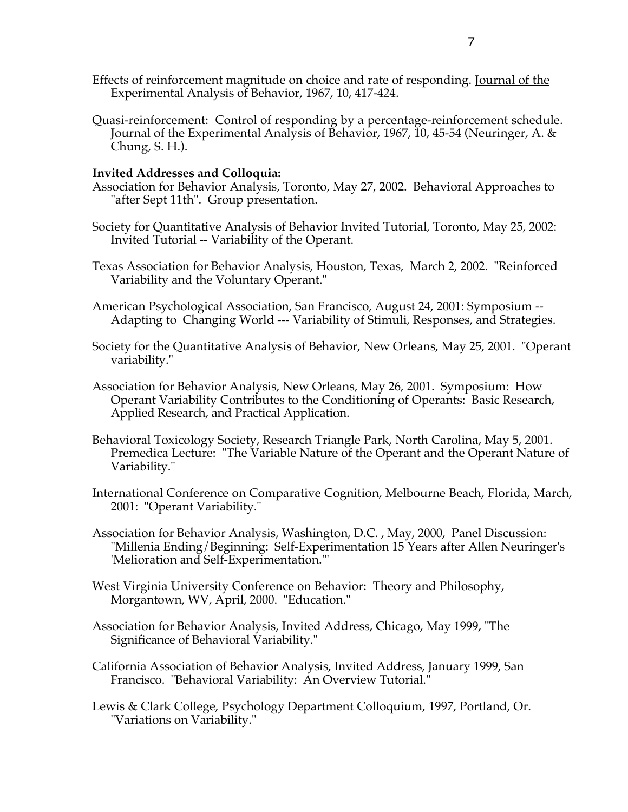- Effects of reinforcement magnitude on choice and rate of responding. Journal of the Experimental Analysis of Behavior, 1967, 10, 417-424.
- Quasi-reinforcement: Control of responding by a percentage-reinforcement schedule. Journal of the Experimental Analysis of Behavior, 1967, 10, 45-54 (Neuringer, A. & Chung, S. H.).

## **Invited Addresses and Colloquia:**

- Association for Behavior Analysis, Toronto, May 27, 2002. Behavioral Approaches to "after Sept 11th". Group presentation.
- Society for Quantitative Analysis of Behavior Invited Tutorial, Toronto, May 25, 2002: Invited Tutorial -- Variability of the Operant.
- Texas Association for Behavior Analysis, Houston, Texas, March 2, 2002. "Reinforced Variability and the Voluntary Operant."
- American Psychological Association, San Francisco, August 24, 2001: Symposium -- Adapting to Changing World --- Variability of Stimuli, Responses, and Strategies.
- Society for the Quantitative Analysis of Behavior, New Orleans, May 25, 2001. "Operant variability."
- Association for Behavior Analysis, New Orleans, May 26, 2001. Symposium: How Operant Variability Contributes to the Conditioning of Operants: Basic Research, Applied Research, and Practical Application.
- Behavioral Toxicology Society, Research Triangle Park, North Carolina, May 5, 2001. Premedica Lecture: "The Variable Nature of the Operant and the Operant Nature of Variability."
- International Conference on Comparative Cognition, Melbourne Beach, Florida, March, 2001: "Operant Variability."
- Association for Behavior Analysis, Washington, D.C. , May, 2000, Panel Discussion: "Millenia Ending/Beginning: Self-Experimentation 15 Years after Allen Neuringer's 'Melioration and Self-Experimentation.'"
- West Virginia University Conference on Behavior: Theory and Philosophy, Morgantown, WV, April, 2000. "Education."
- Association for Behavior Analysis, Invited Address, Chicago, May 1999, "The Significance of Behavioral Variability."
- California Association of Behavior Analysis, Invited Address, January 1999, San Francisco. "Behavioral Variability: An Overview Tutorial."
- Lewis & Clark College, Psychology Department Colloquium, 1997, Portland, Or. "Variations on Variability."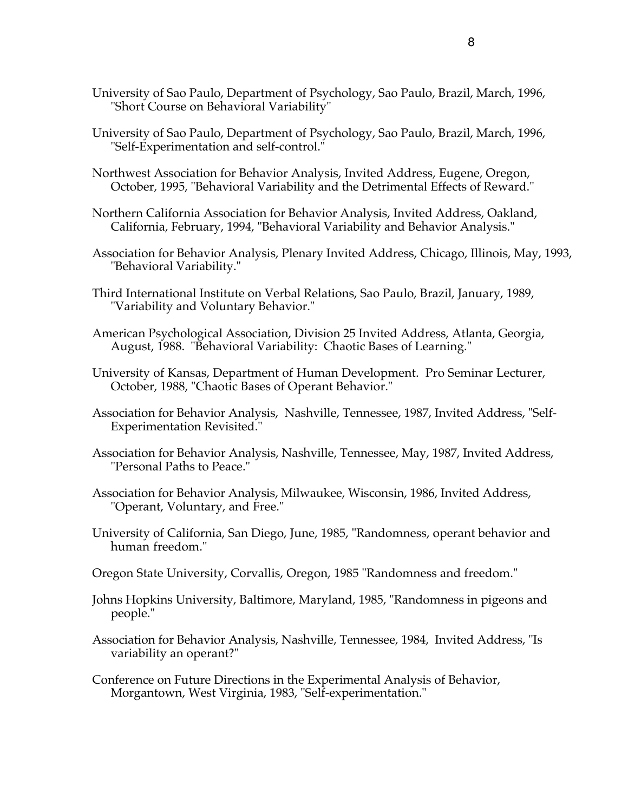- University of Sao Paulo, Department of Psychology, Sao Paulo, Brazil, March, 1996, "Short Course on Behavioral Variability"
- University of Sao Paulo, Department of Psychology, Sao Paulo, Brazil, March, 1996, "Self-Experimentation and self-control."
- Northwest Association for Behavior Analysis, Invited Address, Eugene, Oregon, October, 1995, "Behavioral Variability and the Detrimental Effects of Reward."
- Northern California Association for Behavior Analysis, Invited Address, Oakland, California, February, 1994, "Behavioral Variability and Behavior Analysis."
- Association for Behavior Analysis, Plenary Invited Address, Chicago, Illinois, May, 1993, "Behavioral Variability."
- Third International Institute on Verbal Relations, Sao Paulo, Brazil, January, 1989, "Variability and Voluntary Behavior."
- American Psychological Association, Division 25 Invited Address, Atlanta, Georgia, August, 1988. "Behavioral Variability: Chaotic Bases of Learning."
- University of Kansas, Department of Human Development. Pro Seminar Lecturer, October, 1988, "Chaotic Bases of Operant Behavior."
- Association for Behavior Analysis, Nashville, Tennessee, 1987, Invited Address, "Self-Experimentation Revisited."
- Association for Behavior Analysis, Nashville, Tennessee, May, 1987, Invited Address, "Personal Paths to Peace."
- Association for Behavior Analysis, Milwaukee, Wisconsin, 1986, Invited Address, "Operant, Voluntary, and Free."
- University of California, San Diego, June, 1985, "Randomness, operant behavior and human freedom."
- Oregon State University, Corvallis, Oregon, 1985 "Randomness and freedom."
- Johns Hopkins University, Baltimore, Maryland, 1985, "Randomness in pigeons and people."
- Association for Behavior Analysis, Nashville, Tennessee, 1984, Invited Address, "Is variability an operant?"
- Conference on Future Directions in the Experimental Analysis of Behavior, Morgantown, West Virginia, 1983, "Self-experimentation."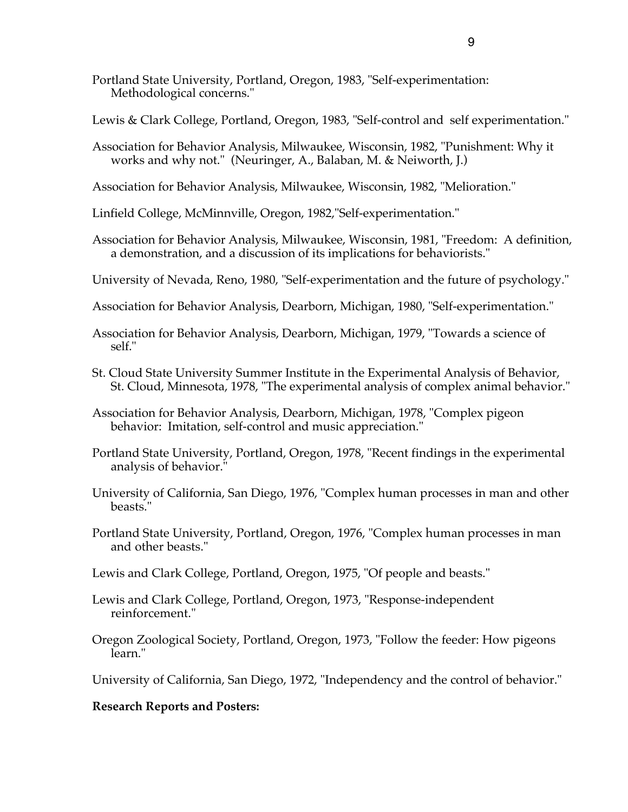- Portland State University, Portland, Oregon, 1983, "Self-experimentation: Methodological concerns."
- Lewis & Clark College, Portland, Oregon, 1983, "Self-control and self experimentation."
- Association for Behavior Analysis, Milwaukee, Wisconsin, 1982, "Punishment: Why it works and why not." (Neuringer, A., Balaban, M. & Neiworth, J.)
- Association for Behavior Analysis, Milwaukee, Wisconsin, 1982, "Melioration."
- Linfield College, McMinnville, Oregon, 1982,"Self-experimentation."
- Association for Behavior Analysis, Milwaukee, Wisconsin, 1981, "Freedom: A definition, a demonstration, and a discussion of its implications for behaviorists."
- University of Nevada, Reno, 1980, "Self-experimentation and the future of psychology."
- Association for Behavior Analysis, Dearborn, Michigan, 1980, "Self-experimentation."
- Association for Behavior Analysis, Dearborn, Michigan, 1979, "Towards a science of self."
- St. Cloud State University Summer Institute in the Experimental Analysis of Behavior, St. Cloud, Minnesota, 1978, "The experimental analysis of complex animal behavior."
- Association for Behavior Analysis, Dearborn, Michigan, 1978, "Complex pigeon behavior: Imitation, self-control and music appreciation."
- Portland State University, Portland, Oregon, 1978, "Recent findings in the experimental analysis of behavior."
- University of California, San Diego, 1976, "Complex human processes in man and other beasts."
- Portland State University, Portland, Oregon, 1976, "Complex human processes in man and other beasts."
- Lewis and Clark College, Portland, Oregon, 1975, "Of people and beasts."
- Lewis and Clark College, Portland, Oregon, 1973, "Response-independent reinforcement."
- Oregon Zoological Society, Portland, Oregon, 1973, "Follow the feeder: How pigeons learn."

University of California, San Diego, 1972, "Independency and the control of behavior."

### **Research Reports and Posters:**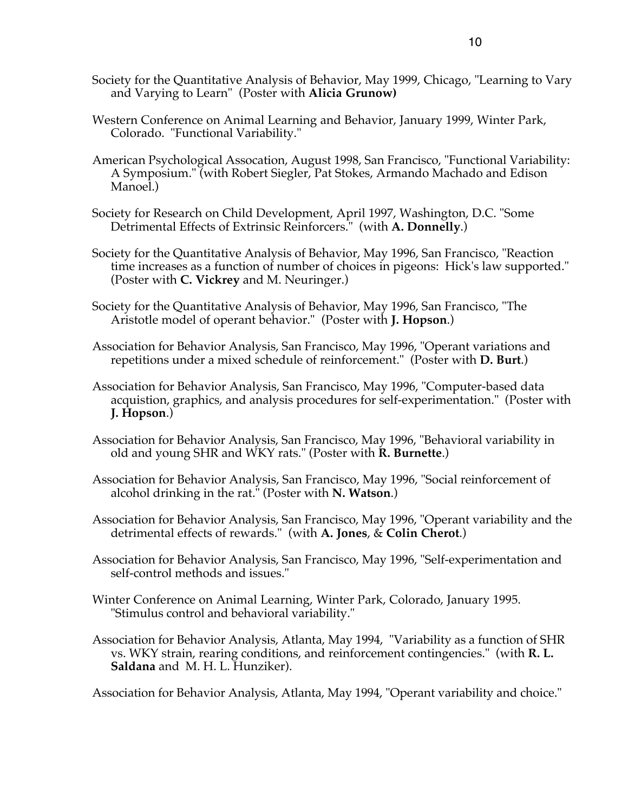- Society for the Quantitative Analysis of Behavior, May 1999, Chicago, "Learning to Vary and Varying to Learn" (Poster with **Alicia Grunow)**
- Western Conference on Animal Learning and Behavior, January 1999, Winter Park, Colorado. "Functional Variability."
- American Psychological Assocation, August 1998, San Francisco, "Functional Variability: A Symposium." (with Robert Siegler, Pat Stokes, Armando Machado and Edison Manoel.)
- Society for Research on Child Development, April 1997, Washington, D.C. "Some Detrimental Effects of Extrinsic Reinforcers." (with **A. Donnelly**.)
- Society for the Quantitative Analysis of Behavior, May 1996, San Francisco, "Reaction time increases as a function of number of choices in pigeons: Hick's law supported." (Poster with **C. Vickrey** and M. Neuringer.)
- Society for the Quantitative Analysis of Behavior, May 1996, San Francisco, "The Aristotle model of operant behavior." (Poster with **J. Hopson**.)
- Association for Behavior Analysis, San Francisco, May 1996, "Operant variations and repetitions under a mixed schedule of reinforcement." (Poster with **D. Burt**.)
- Association for Behavior Analysis, San Francisco, May 1996, "Computer-based data acquistion, graphics, and analysis procedures for self-experimentation." (Poster with **J. Hopson**.)
- Association for Behavior Analysis, San Francisco, May 1996, "Behavioral variability in old and young SHR and WKY rats." (Poster with **R. Burnette**.)
- Association for Behavior Analysis, San Francisco, May 1996, "Social reinforcement of alcohol drinking in the rat." (Poster with **N. Watson**.)
- Association for Behavior Analysis, San Francisco, May 1996, "Operant variability and the detrimental effects of rewards." (with **A. Jones**, & **Colin Cherot**.)
- Association for Behavior Analysis, San Francisco, May 1996, "Self-experimentation and self-control methods and issues."
- Winter Conference on Animal Learning, Winter Park, Colorado, January 1995. "Stimulus control and behavioral variability."
- Association for Behavior Analysis, Atlanta, May 1994, "Variability as a function of SHR vs. WKY strain, rearing conditions, and reinforcement contingencies." (with **R. L. Saldana** and M. H. L. Hunziker).

Association for Behavior Analysis, Atlanta, May 1994, "Operant variability and choice."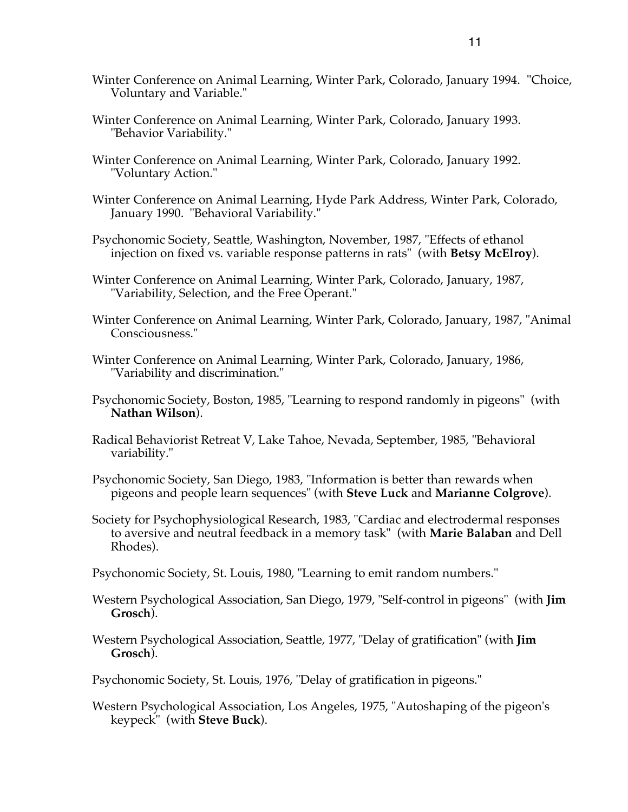- Winter Conference on Animal Learning, Winter Park, Colorado, January 1994. "Choice, Voluntary and Variable."
- Winter Conference on Animal Learning, Winter Park, Colorado, January 1993. "Behavior Variability."
- Winter Conference on Animal Learning, Winter Park, Colorado, January 1992. "Voluntary Action."
- Winter Conference on Animal Learning, Hyde Park Address, Winter Park, Colorado, January 1990. "Behavioral Variability."
- Psychonomic Society, Seattle, Washington, November, 1987, "Effects of ethanol injection on fixed vs. variable response patterns in rats" (with **Betsy McElroy**).
- Winter Conference on Animal Learning, Winter Park, Colorado, January, 1987, "Variability, Selection, and the Free Operant."
- Winter Conference on Animal Learning, Winter Park, Colorado, January, 1987, "Animal Consciousness."
- Winter Conference on Animal Learning, Winter Park, Colorado, January, 1986, "Variability and discrimination."
- Psychonomic Society, Boston, 1985, "Learning to respond randomly in pigeons" (with **Nathan Wilson**).
- Radical Behaviorist Retreat V, Lake Tahoe, Nevada, September, 1985, "Behavioral variability."
- Psychonomic Society, San Diego, 1983, "Information is better than rewards when pigeons and people learn sequences" (with **Steve Luck** and **Marianne Colgrove**).
- Society for Psychophysiological Research, 1983, "Cardiac and electrodermal responses to aversive and neutral feedback in a memory task" (with **Marie Balaban** and Dell Rhodes).
- Psychonomic Society, St. Louis, 1980, "Learning to emit random numbers."
- Western Psychological Association, San Diego, 1979, "Self-control in pigeons" (with **Jim Grosch**).
- Western Psychological Association, Seattle, 1977, "Delay of gratification" (with **Jim Grosch**).
- Psychonomic Society, St. Louis, 1976, "Delay of gratification in pigeons."
- Western Psychological Association, Los Angeles, 1975, "Autoshaping of the pigeon's keypeck" (with **Steve Buck**).